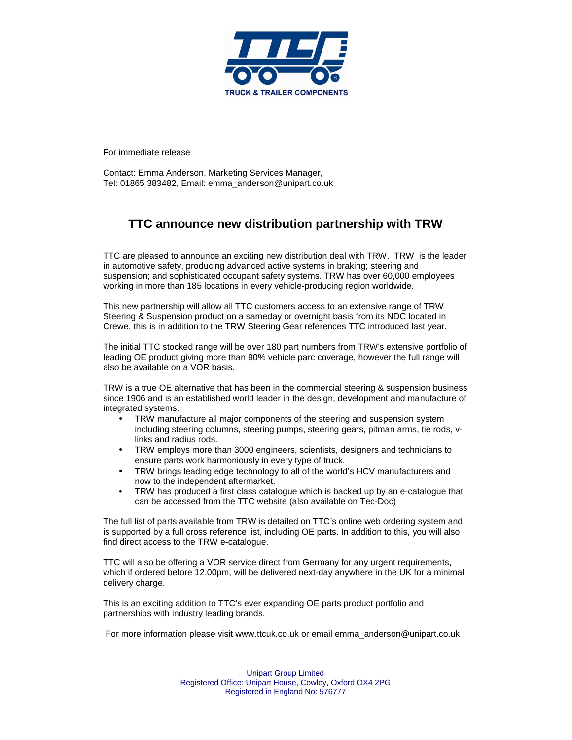

For immediate release

Contact: Emma Anderson, Marketing Services Manager, Tel: 01865 383482, Email: emma\_anderson@unipart.co.uk

## **TTC announce new distribution partnership with TRW**

TTC are pleased to announce an exciting new distribution deal with TRW. TRW is the leader in automotive safety, producing advanced active systems in braking; steering and suspension; and sophisticated occupant safety systems. TRW has over 60,000 employees working in more than 185 locations in every vehicle-producing region worldwide.

This new partnership will allow all TTC customers access to an extensive range of TRW Steering & Suspension product on a sameday or overnight basis from its NDC located in Crewe, this is in addition to the TRW Steering Gear references TTC introduced last year.

The initial TTC stocked range will be over 180 part numbers from TRW's extensive portfolio of leading OE product giving more than 90% vehicle parc coverage, however the full range will also be available on a VOR basis.

TRW is a true OE alternative that has been in the commercial steering & suspension business since 1906 and is an established world leader in the design, development and manufacture of integrated systems.

- TRW manufacture all major components of the steering and suspension system including steering columns, steering pumps, steering gears, pitman arms, tie rods, vlinks and radius rods.
- TRW employs more than 3000 engineers, scientists, designers and technicians to ensure parts work harmoniously in every type of truck.
- TRW brings leading edge technology to all of the world's HCV manufacturers and now to the independent aftermarket.
- TRW has produced a first class catalogue which is backed up by an e-catalogue that can be accessed from the TTC website (also available on Tec-Doc)

The full list of parts available from TRW is detailed on TTC's online web ordering system and is supported by a full cross reference list, including OE parts. In addition to this, you will also find direct access to the TRW e-catalogue.

TTC will also be offering a VOR service direct from Germany for any urgent requirements, which if ordered before 12.00pm, will be delivered next-day anywhere in the UK for a minimal delivery charge.

This is an exciting addition to TTC's ever expanding OE parts product portfolio and partnerships with industry leading brands.

For more information please visit www.ttcuk.co.uk or email emma\_anderson@unipart.co.uk

Unipart Group Limited Registered Office: Unipart House, Cowley, Oxford OX4 2PG Registered in England No: 576777